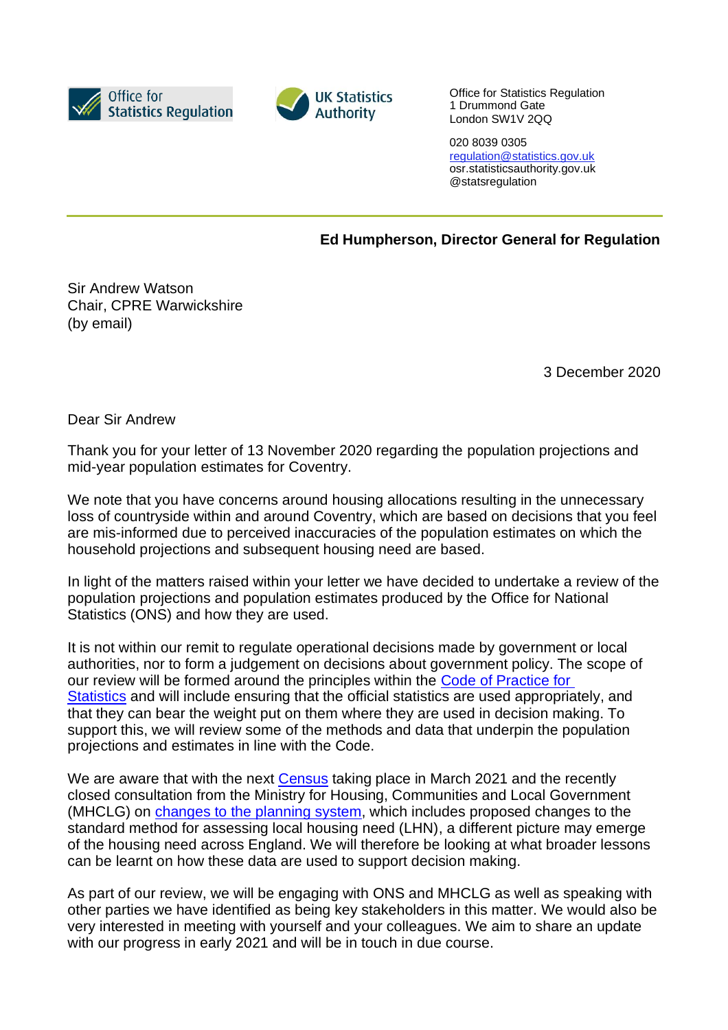



Office for Statistics Regulation 1 Drummond Gate London SW1V 2QQ

020 8039 0305 [regulation@statistics.gov.uk](mailto:E:%E2%80%82regulation@statistics.gov.uk) osr.statisticsauthority.gov.uk @statsregulation

**Ed Humpherson, Director General for Regulation**

Sir Andrew Watson Chair, CPRE Warwickshire (by email)

3 December 2020

Dear Sir Andrew

Thank you for your letter of 13 November 2020 regarding the population projections and mid-year population estimates for Coventry.

We note that you have concerns around housing allocations resulting in the unnecessary loss of countryside within and around Coventry, which are based on decisions that you feel are mis-informed due to perceived inaccuracies of the population estimates on which the household projections and subsequent housing need are based.

In light of the matters raised within your letter we have decided to undertake a review of the population projections and population estimates produced by the Office for National Statistics (ONS) and how they are used.

It is not within our remit to regulate operational decisions made by government or local authorities, nor to form a judgement on decisions about government policy. The scope of our review will be formed around the principles within the [Code of Practice for](https://code.statisticsauthority.gov.uk/)  [Statistics](https://code.statisticsauthority.gov.uk/) and will include ensuring that the official statistics are used appropriately, and that they can bear the weight put on them where they are used in decision making. To support this, we will review some of the methods and data that underpin the population projections and estimates in line with the Code.

We are aware that with the next [Census](https://census.gov.uk/) taking place in March 2021 and the recently closed consultation from the Ministry for Housing, Communities and Local Government (MHCLG) on [changes to the planning system,](https://www.gov.uk/government/consultations/changes-to-the-current-planning-system) which includes proposed changes to the standard method for assessing local housing need (LHN), a different picture may emerge of the housing need across England. We will therefore be looking at what broader lessons can be learnt on how these data are used to support decision making.

As part of our review, we will be engaging with ONS and MHCLG as well as speaking with other parties we have identified as being key stakeholders in this matter. We would also be very interested in meeting with yourself and your colleagues. We aim to share an update with our progress in early 2021 and will be in touch in due course.